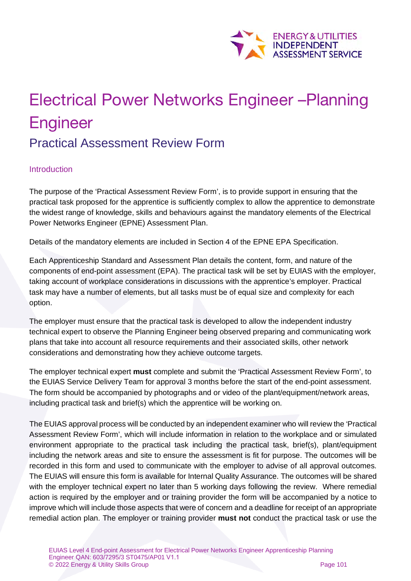

# Electrical Power Networks Engineer –Planning **Engineer** Practical Assessment Review Form

#### Introduction

The purpose of the 'Practical Assessment Review Form', is to provide support in ensuring that the practical task proposed for the apprentice is sufficiently complex to allow the apprentice to demonstrate the widest range of knowledge, skills and behaviours against the mandatory elements of the Electrical Power Networks Engineer (EPNE) Assessment Plan.

Details of the mandatory elements are included in Section 4 of the EPNE EPA Specification.

Each Apprenticeship Standard and Assessment Plan details the content, form, and nature of the components of end-point assessment (EPA). The practical task will be set by EUIAS with the employer, taking account of workplace considerations in discussions with the apprentice's employer. Practical task may have a number of elements, but all tasks must be of equal size and complexity for each option.

The employer must ensure that the practical task is developed to allow the independent industry technical expert to observe the Planning Engineer being observed preparing and communicating work plans that take into account all resource requirements and their associated skills, other network considerations and demonstrating how they achieve outcome targets.

The employer technical expert **must** complete and submit the 'Practical Assessment Review Form', to the EUIAS Service Delivery Team for approval 3 months before the start of the end-point assessment. The form should be accompanied by photographs and or video of the plant/equipment/network areas, including practical task and brief(s) which the apprentice will be working on.

The EUIAS approval process will be conducted by an independent examiner who will review the 'Practical Assessment Review Form', which will include information in relation to the workplace and or simulated environment appropriate to the practical task including the practical task, brief(s), plant/equipment including the network areas and site to ensure the assessment is fit for purpose. The outcomes will be recorded in this form and used to communicate with the employer to advise of all approval outcomes. The EUIAS will ensure this form is available for Internal Quality Assurance. The outcomes will be shared with the employer technical expert no later than 5 working days following the review. Where remedial action is required by the employer and or training provider the form will be accompanied by a notice to improve which will include those aspects that were of concern and a deadline for receipt of an appropriate remedial action plan. The employer or training provider **must not** conduct the practical task or use the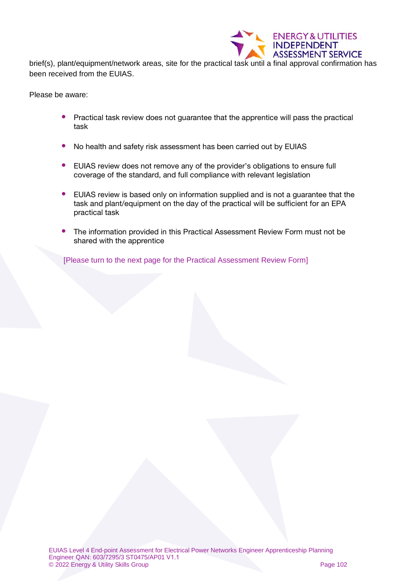

brief(s), plant/equipment/network areas, site for the practical task until a final approval confirmation has been received from the EUIAS.

Please be aware:

- Practical task review does not quarantee that the apprentice will pass the practical task
- No health and safety risk assessment has been carried out by EUIAS
- EUIAS review does not remove any of the provider's obligations to ensure full coverage of the standard, and full compliance with relevant legislation
- EUIAS review is based only on information supplied and is not a guarantee that the task and plant/equipment on the day of the practical will be sufficient for an EPA practical task
- The information provided in this Practical Assessment Review Form must not be shared with the apprentice

[Please turn to the next page for the Practical Assessment Review Form]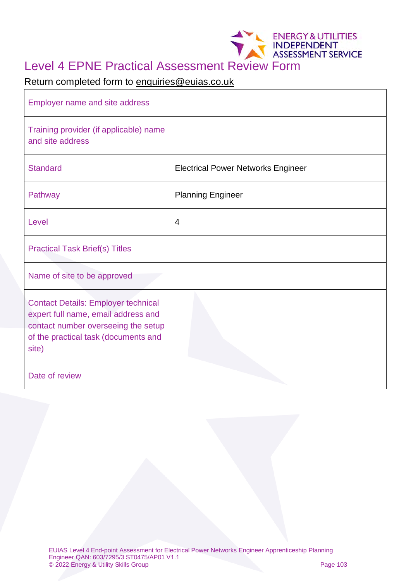# Level 4 EPNE Practical Assessment Review Form

## Return completed form to [enquiries@euias.co.uk](mailto:enquiries@euias.co.uk)

| <b>Employer name and site address</b>                                                                                                                                     |                                           |
|---------------------------------------------------------------------------------------------------------------------------------------------------------------------------|-------------------------------------------|
| Training provider (if applicable) name<br>and site address                                                                                                                |                                           |
| <b>Standard</b>                                                                                                                                                           | <b>Electrical Power Networks Engineer</b> |
| Pathway                                                                                                                                                                   | <b>Planning Engineer</b>                  |
| Level                                                                                                                                                                     | 4                                         |
| <b>Practical Task Brief(s) Titles</b>                                                                                                                                     |                                           |
| Name of site to be approved                                                                                                                                               |                                           |
| <b>Contact Details: Employer technical</b><br>expert full name, email address and<br>contact number overseeing the setup<br>of the practical task (documents and<br>site) |                                           |
| Date of review                                                                                                                                                            |                                           |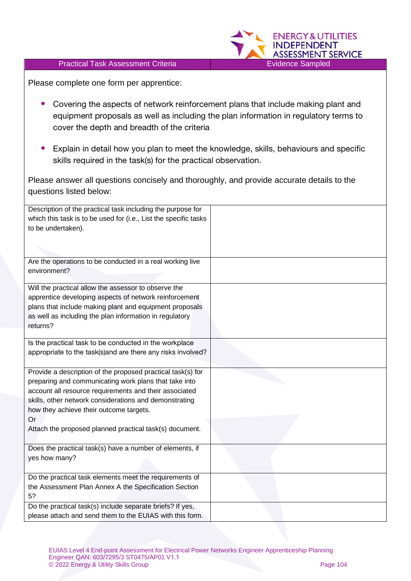#### Practical Task Assessment Criteria **Evidence Sampled**



Please complete one form per apprentice:

- Covering the aspects of network reinforcement plans that include making plant and equipment proposals as well as including the plan information in regulatory terms to cover the depth and breadth of the criteria
- Explain in detail how you plan to meet the knowledge, skills, behaviours and specific skills required in the task(s) for the practical observation.

Please answer all questions concisely and thoroughly, and provide accurate details to the questions listed below:

| Description of the practical task including the purpose for      |  |
|------------------------------------------------------------------|--|
|                                                                  |  |
| which this task is to be used for (i.e., List the specific tasks |  |
| to be undertaken).                                               |  |
|                                                                  |  |
|                                                                  |  |
|                                                                  |  |
| Are the operations to be conducted in a real working live        |  |
| environment?                                                     |  |
|                                                                  |  |
| Will the practical allow the assessor to observe the             |  |
| apprentice developing aspects of network reinforcement           |  |
| plans that include making plant and equipment proposals          |  |
| as well as including the plan information in regulatory          |  |
| returns?                                                         |  |
|                                                                  |  |
| Is the practical task to be conducted in the workplace           |  |
|                                                                  |  |
| appropriate to the task(s)and are there any risks involved?      |  |
|                                                                  |  |
| Provide a description of the proposed practical task(s) for      |  |
| preparing and communicating work plans that take into            |  |
| account all resource requirements and their associated           |  |
| skills, other network considerations and demonstrating           |  |
| how they achieve their outcome targets.                          |  |
|                                                                  |  |
| Or                                                               |  |
| Attach the proposed planned practical task(s) document.          |  |
|                                                                  |  |
| Does the practical task(s) have a number of elements, if         |  |
| yes how many?                                                    |  |
|                                                                  |  |
| Do the practical task elements meet the requirements of          |  |
| the Assessment Plan Annex A the Specification Section            |  |
|                                                                  |  |
| 5?                                                               |  |
| Do the practical task(s) include separate briefs? If yes,        |  |
| please attach and send them to the EUIAS with this form.         |  |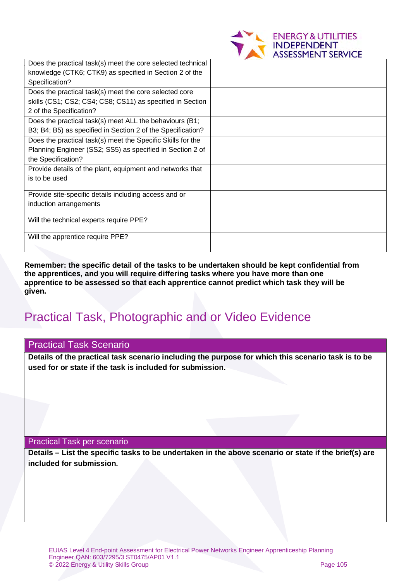

| Does the practical task(s) meet the core selected technical |  |
|-------------------------------------------------------------|--|
| knowledge (CTK6; CTK9) as specified in Section 2 of the     |  |
| Specification?                                              |  |
| Does the practical task(s) meet the core selected core      |  |
| skills (CS1; CS2; CS4; CS8; CS11) as specified in Section   |  |
| 2 of the Specification?                                     |  |
| Does the practical task(s) meet ALL the behaviours (B1;     |  |
| B3; B4; B5) as specified in Section 2 of the Specification? |  |
| Does the practical task(s) meet the Specific Skills for the |  |
| Planning Engineer (SS2; SS5) as specified in Section 2 of   |  |
| the Specification?                                          |  |
| Provide details of the plant, equipment and networks that   |  |
| is to be used                                               |  |
|                                                             |  |
| Provide site-specific details including access and or       |  |
| induction arrangements                                      |  |
|                                                             |  |
| Will the technical experts require PPE?                     |  |
| Will the apprentice require PPE?                            |  |
|                                                             |  |
|                                                             |  |

**Remember: the specific detail of the tasks to be undertaken should be kept confidential from the apprentices, and you will require differing tasks where you have more than one apprentice to be assessed so that each apprentice cannot predict which task they will be given.**

# Practical Task, Photographic and or Video Evidence

#### Practical Task Scenario

**Details of the practical task scenario including the purpose for which this scenario task is to be used for or state if the task is included for submission.**

Practical Task per scenario

**Details – List the specific tasks to be undertaken in the above scenario or state if the brief(s) are included for submission.**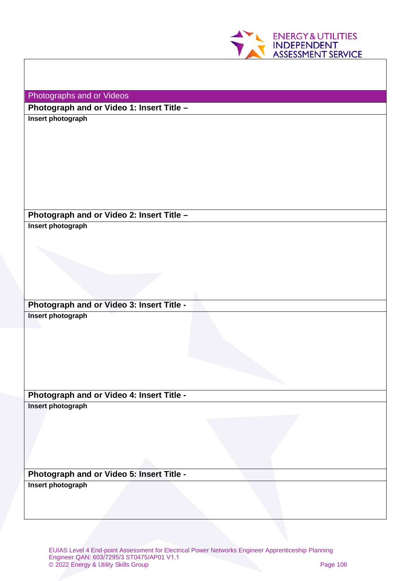

Photographs and or Videos

**Photograph and or Video 1: Insert Title –**

**Insert photograph**

## **Photograph and or Video 2: Insert Title –**

**Insert photograph**

**Photograph and or Video 3: Insert Title - Insert photograph**

**Photograph and or Video 4: Insert Title - Insert photograph**

**Photograph and or Video 5: Insert Title -**

**Insert photograph**